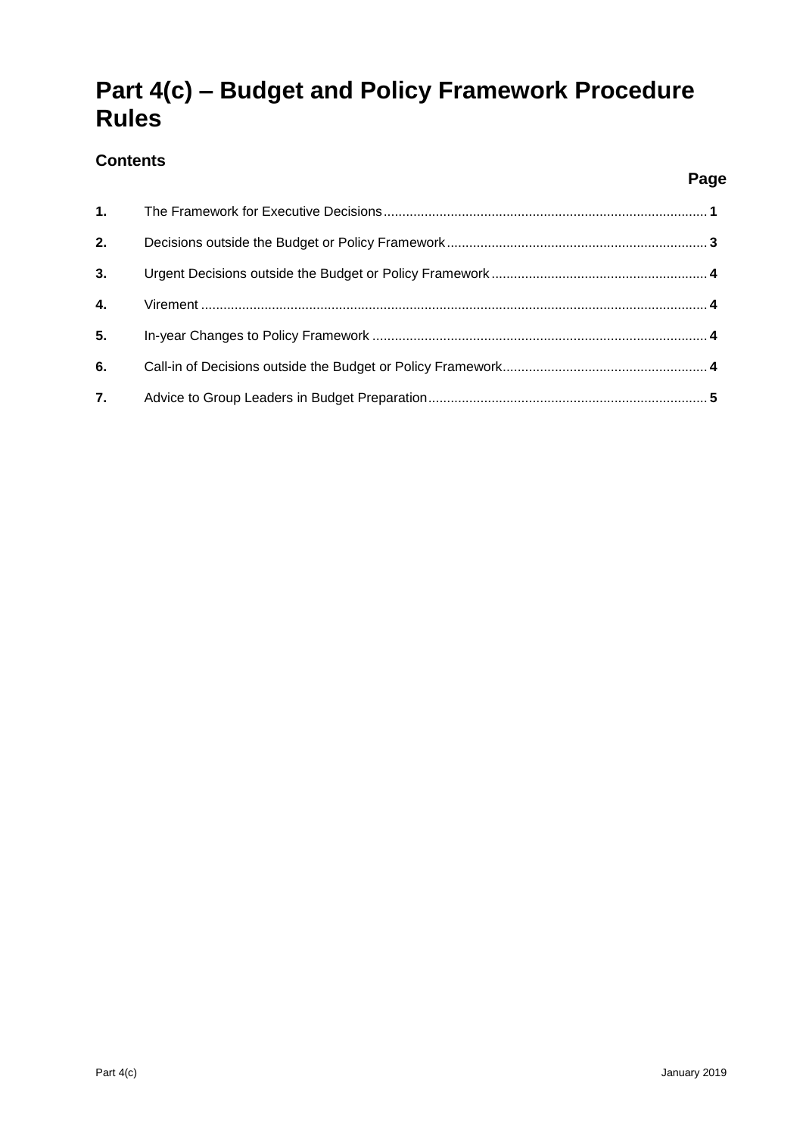# **Part 4(c) – Budget and Policy Framework Procedure Rules**

### **Contents**

| 1. |  |
|----|--|
| 2. |  |
| 3. |  |
| 4. |  |
| 5. |  |
| 6. |  |
| 7. |  |

**Page**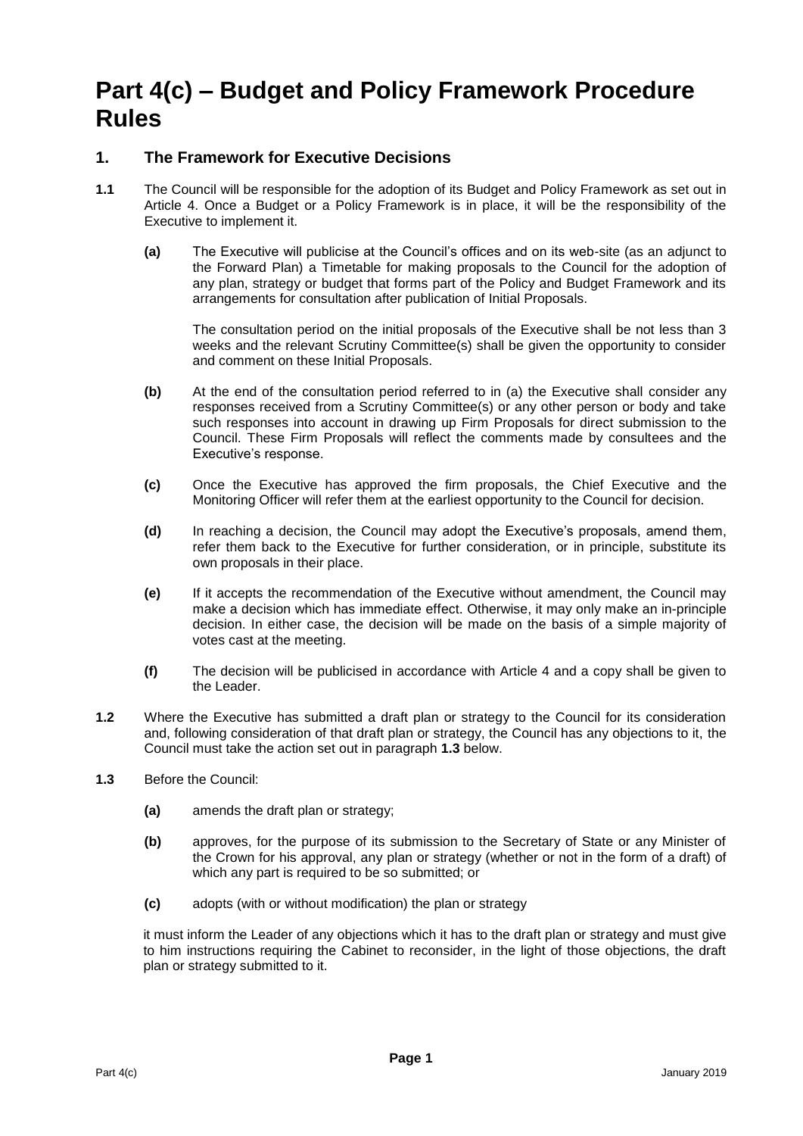## **Part 4(c) – Budget and Policy Framework Procedure Rules**

#### **1. The Framework for Executive Decisions**

- **1.1** The Council will be responsible for the adoption of its Budget and Policy Framework as set out in Article 4. Once a Budget or a Policy Framework is in place, it will be the responsibility of the Executive to implement it.
	- **(a)** The Executive will publicise at the Council's offices and on its web-site (as an adjunct to the Forward Plan) a Timetable for making proposals to the Council for the adoption of any plan, strategy or budget that forms part of the Policy and Budget Framework and its arrangements for consultation after publication of Initial Proposals.

The consultation period on the initial proposals of the Executive shall be not less than 3 weeks and the relevant Scrutiny Committee(s) shall be given the opportunity to consider and comment on these Initial Proposals.

- **(b)** At the end of the consultation period referred to in (a) the Executive shall consider any responses received from a Scrutiny Committee(s) or any other person or body and take such responses into account in drawing up Firm Proposals for direct submission to the Council. These Firm Proposals will reflect the comments made by consultees and the Executive's response.
- **(c)** Once the Executive has approved the firm proposals, the Chief Executive and the Monitoring Officer will refer them at the earliest opportunity to the Council for decision.
- **(d)** In reaching a decision, the Council may adopt the Executive's proposals, amend them, refer them back to the Executive for further consideration, or in principle, substitute its own proposals in their place.
- **(e)** If it accepts the recommendation of the Executive without amendment, the Council may make a decision which has immediate effect. Otherwise, it may only make an in-principle decision. In either case, the decision will be made on the basis of a simple majority of votes cast at the meeting.
- **(f)** The decision will be publicised in accordance with Article 4 and a copy shall be given to the Leader.
- **1.2** Where the Executive has submitted a draft plan or strategy to the Council for its consideration and, following consideration of that draft plan or strategy, the Council has any objections to it, the Council must take the action set out in paragraph **1.3** below.
- **1.3** Before the Council:
	- **(a)** amends the draft plan or strategy;
	- **(b)** approves, for the purpose of its submission to the Secretary of State or any Minister of the Crown for his approval, any plan or strategy (whether or not in the form of a draft) of which any part is required to be so submitted; or
	- **(c)** adopts (with or without modification) the plan or strategy

it must inform the Leader of any objections which it has to the draft plan or strategy and must give to him instructions requiring the Cabinet to reconsider, in the light of those objections, the draft plan or strategy submitted to it.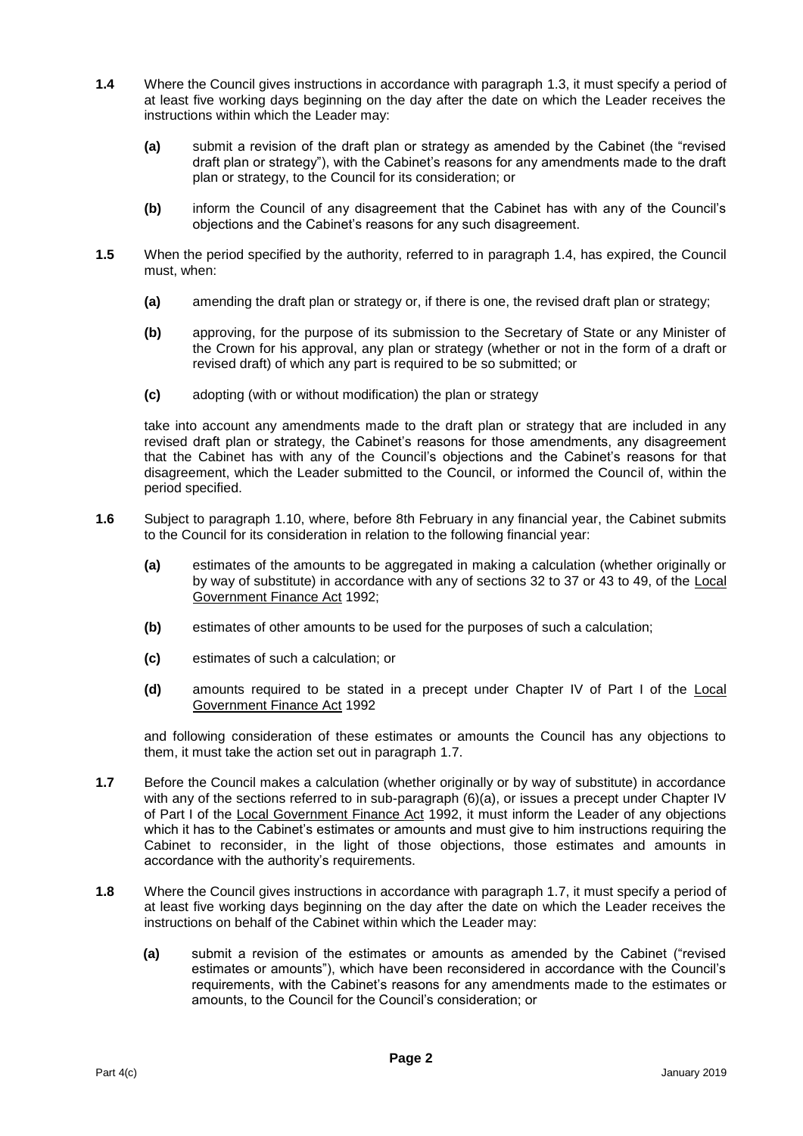- **1.4** Where the Council gives instructions in accordance with paragraph 1.3, it must specify a period of at least five working days beginning on the day after the date on which the Leader receives the instructions within which the Leader may:
	- **(a)** submit a revision of the draft plan or strategy as amended by the Cabinet (the "revised draft plan or strategy"), with the Cabinet's reasons for any amendments made to the draft plan or strategy, to the Council for its consideration; or
	- **(b)** inform the Council of any disagreement that the Cabinet has with any of the Council's objections and the Cabinet's reasons for any such disagreement.
- **1.5** When the period specified by the authority, referred to in paragraph 1.4, has expired, the Council must, when:
	- **(a)** amending the draft plan or strategy or, if there is one, the revised draft plan or strategy;
	- **(b)** approving, for the purpose of its submission to the Secretary of State or any Minister of the Crown for his approval, any plan or strategy (whether or not in the form of a draft or revised draft) of which any part is required to be so submitted; or
	- **(c)** adopting (with or without modification) the plan or strategy

take into account any amendments made to the draft plan or strategy that are included in any revised draft plan or strategy, the Cabinet's reasons for those amendments, any disagreement that the Cabinet has with any of the Council's objections and the Cabinet's reasons for that disagreement, which the Leader submitted to the Council, or informed the Council of, within the period specified.

- **1.6** Subject to paragraph 1.10, where, before 8th February in any financial year, the Cabinet submits to the Council for its consideration in relation to the following financial year:
	- **(a)** estimates of the amounts to be aggregated in making a calculation (whether originally or by way of substitute) in accordance with any of sections 32 to 37 or 43 to 49, of the Local Government Finance Act 1992;
	- **(b)** estimates of other amounts to be used for the purposes of such a calculation;
	- **(c)** estimates of such a calculation; or
	- **(d)** amounts required to be stated in a precept under Chapter IV of Part I of the Local Government Finance Act 1992

and following consideration of these estimates or amounts the Council has any objections to them, it must take the action set out in paragraph 1.7.

- **1.7** Before the Council makes a calculation (whether originally or by way of substitute) in accordance with any of the sections referred to in sub-paragraph (6)(a), or issues a precept under Chapter IV of Part I of the Local Government Finance Act 1992, it must inform the Leader of any objections which it has to the Cabinet's estimates or amounts and must give to him instructions requiring the Cabinet to reconsider, in the light of those objections, those estimates and amounts in accordance with the authority's requirements.
- **1.8** Where the Council gives instructions in accordance with paragraph 1.7, it must specify a period of at least five working days beginning on the day after the date on which the Leader receives the instructions on behalf of the Cabinet within which the Leader may:
	- **(a)** submit a revision of the estimates or amounts as amended by the Cabinet ("revised estimates or amounts"), which have been reconsidered in accordance with the Council's requirements, with the Cabinet's reasons for any amendments made to the estimates or amounts, to the Council for the Council's consideration; or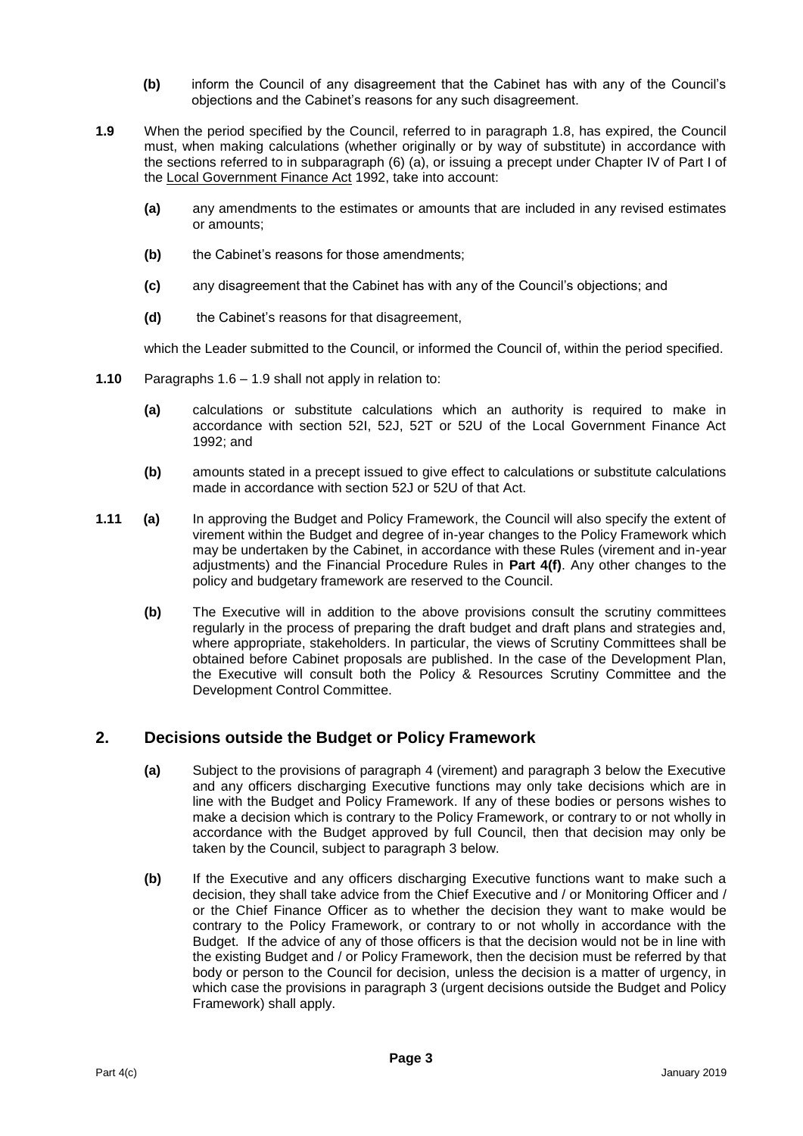- **(b)** inform the Council of any disagreement that the Cabinet has with any of the Council's objections and the Cabinet's reasons for any such disagreement.
- **1.9** When the period specified by the Council, referred to in paragraph 1.8, has expired, the Council must, when making calculations (whether originally or by way of substitute) in accordance with the sections referred to in subparagraph (6) (a), or issuing a precept under Chapter IV of Part I of the Local Government Finance Act 1992, take into account:
	- **(a)** any amendments to the estimates or amounts that are included in any revised estimates or amounts;
	- **(b)** the Cabinet's reasons for those amendments;
	- **(c)** any disagreement that the Cabinet has with any of the Council's objections; and
	- **(d)** the Cabinet's reasons for that disagreement,

which the Leader submitted to the Council, or informed the Council of, within the period specified.

- **1.10** Paragraphs 1.6 1.9 shall not apply in relation to:
	- **(a)** calculations or substitute calculations which an authority is required to make in accordance with section 52I, 52J, 52T or 52U of the Local Government Finance Act 1992; and
	- **(b)** amounts stated in a precept issued to give effect to calculations or substitute calculations made in accordance with section 52J or 52U of that Act.
- **1.11 (a)** In approving the Budget and Policy Framework, the Council will also specify the extent of virement within the Budget and degree of in-year changes to the Policy Framework which may be undertaken by the Cabinet, in accordance with these Rules (virement and in-year adjustments) and the Financial Procedure Rules in **Part 4(f)**. Any other changes to the policy and budgetary framework are reserved to the Council.
	- **(b)** The Executive will in addition to the above provisions consult the scrutiny committees regularly in the process of preparing the draft budget and draft plans and strategies and, where appropriate, stakeholders. In particular, the views of Scrutiny Committees shall be obtained before Cabinet proposals are published. In the case of the Development Plan, the Executive will consult both the Policy & Resources Scrutiny Committee and the Development Control Committee.

#### **2. Decisions outside the Budget or Policy Framework**

- **(a)** Subject to the provisions of paragraph 4 (virement) and paragraph 3 below the Executive and any officers discharging Executive functions may only take decisions which are in line with the Budget and Policy Framework. If any of these bodies or persons wishes to make a decision which is contrary to the Policy Framework, or contrary to or not wholly in accordance with the Budget approved by full Council, then that decision may only be taken by the Council, subject to paragraph 3 below.
- **(b)** If the Executive and any officers discharging Executive functions want to make such a decision, they shall take advice from the Chief Executive and / or Monitoring Officer and / or the Chief Finance Officer as to whether the decision they want to make would be contrary to the Policy Framework, or contrary to or not wholly in accordance with the Budget. If the advice of any of those officers is that the decision would not be in line with the existing Budget and / or Policy Framework, then the decision must be referred by that body or person to the Council for decision, unless the decision is a matter of urgency, in which case the provisions in paragraph 3 (urgent decisions outside the Budget and Policy Framework) shall apply.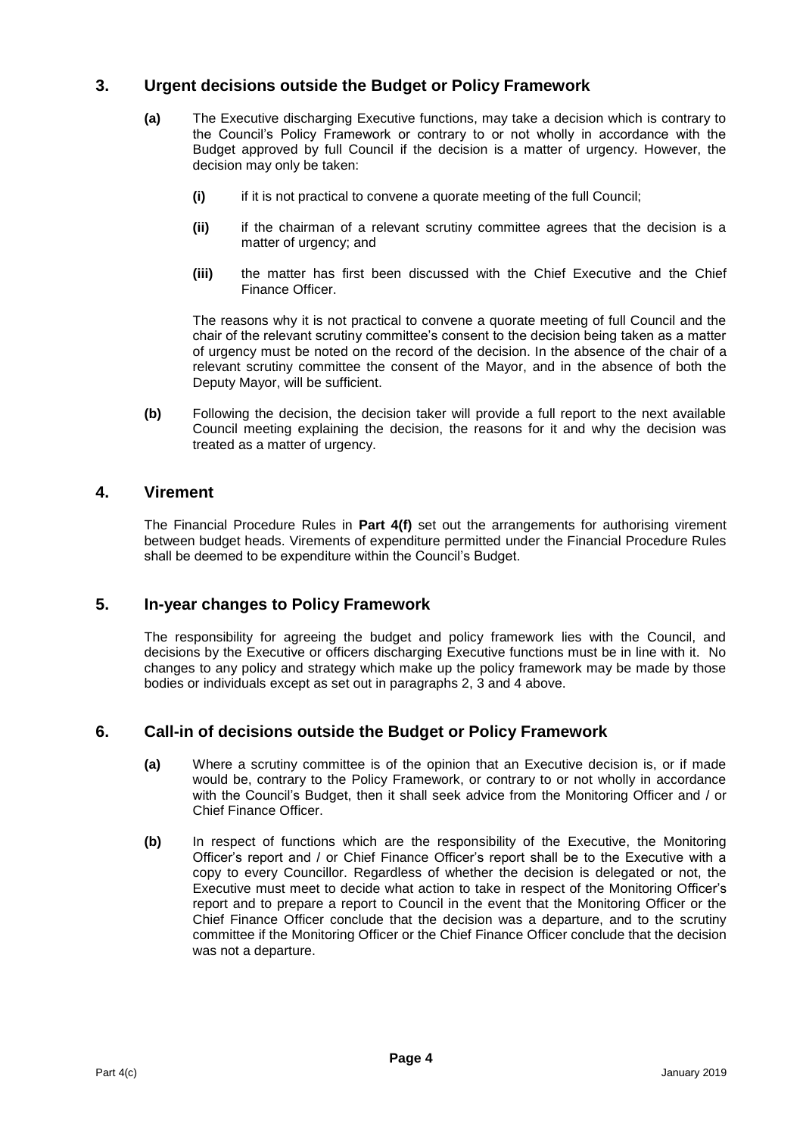#### **3. Urgent decisions outside the Budget or Policy Framework**

- **(a)** The Executive discharging Executive functions, may take a decision which is contrary to the Council's Policy Framework or contrary to or not wholly in accordance with the Budget approved by full Council if the decision is a matter of urgency. However, the decision may only be taken:
	- **(i)** if it is not practical to convene a quorate meeting of the full Council;
	- **(ii)** if the chairman of a relevant scrutiny committee agrees that the decision is a matter of urgency; and
	- **(iii)** the matter has first been discussed with the Chief Executive and the Chief Finance Officer.

The reasons why it is not practical to convene a quorate meeting of full Council and the chair of the relevant scrutiny committee's consent to the decision being taken as a matter of urgency must be noted on the record of the decision. In the absence of the chair of a relevant scrutiny committee the consent of the Mayor, and in the absence of both the Deputy Mayor, will be sufficient.

**(b)** Following the decision, the decision taker will provide a full report to the next available Council meeting explaining the decision, the reasons for it and why the decision was treated as a matter of urgency.

#### **4. Virement**

The Financial Procedure Rules in **Part 4(f)** set out the arrangements for authorising virement between budget heads. Virements of expenditure permitted under the Financial Procedure Rules shall be deemed to be expenditure within the Council's Budget.

#### **5. In-year changes to Policy Framework**

The responsibility for agreeing the budget and policy framework lies with the Council, and decisions by the Executive or officers discharging Executive functions must be in line with it. No changes to any policy and strategy which make up the policy framework may be made by those bodies or individuals except as set out in paragraphs 2, 3 and 4 above.

#### **6. Call-in of decisions outside the Budget or Policy Framework**

- **(a)** Where a scrutiny committee is of the opinion that an Executive decision is, or if made would be, contrary to the Policy Framework, or contrary to or not wholly in accordance with the Council's Budget, then it shall seek advice from the Monitoring Officer and / or Chief Finance Officer.
- **(b)** In respect of functions which are the responsibility of the Executive, the Monitoring Officer's report and / or Chief Finance Officer's report shall be to the Executive with a copy to every Councillor. Regardless of whether the decision is delegated or not, the Executive must meet to decide what action to take in respect of the Monitoring Officer's report and to prepare a report to Council in the event that the Monitoring Officer or the Chief Finance Officer conclude that the decision was a departure, and to the scrutiny committee if the Monitoring Officer or the Chief Finance Officer conclude that the decision was not a departure.